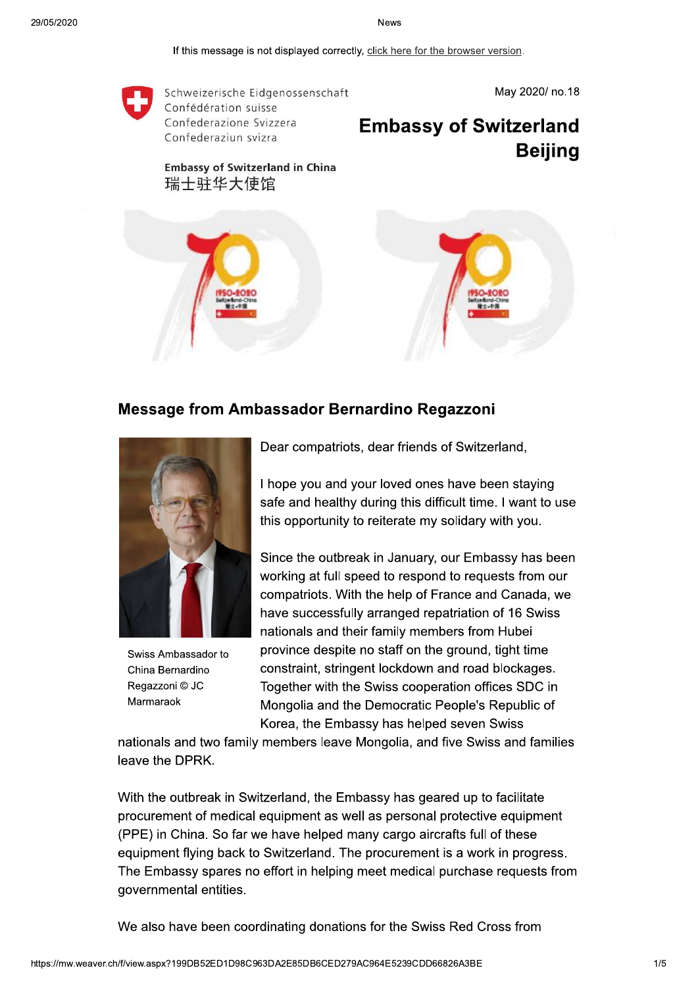If this message is not displayed correctly, click here for the browser version.



## Message from Ambassador Bernardino Regazzoni



Swiss Ambassador to China Bernardino Regazzoni © JC Marmaraok

Dear compatriots, dear friends of Switzerland,

I hope you and your loved ones have been staving safe and healthy during this difficult time. I want to use this opportunity to reiterate my solidary with you.

Since the outbreak in January, our Embassy has been working at full speed to respond to requests from our compatriots. With the help of France and Canada, we have successfully arranged repatriation of 16 Swiss nationals and their family members from Hubei province despite no staff on the ground, tight time constraint, stringent lockdown and road blockages. Together with the Swiss cooperation offices SDC in Mongolia and the Democratic People's Republic of Korea, the Embassy has helped seven Swiss

nationals and two family members leave Mongolia, and five Swiss and families leave the DPRK.

With the outbreak in Switzerland, the Embassy has geared up to facilitate procurement of medical equipment as well as personal protective equipment (PPE) in China. So far we have helped many cargo aircrafts full of these equipment flying back to Switzerland. The procurement is a work in progress. The Embassy spares no effort in helping meet medical purchase requests from governmental entities.

We also have been coordinating donations for the Swiss Red Cross from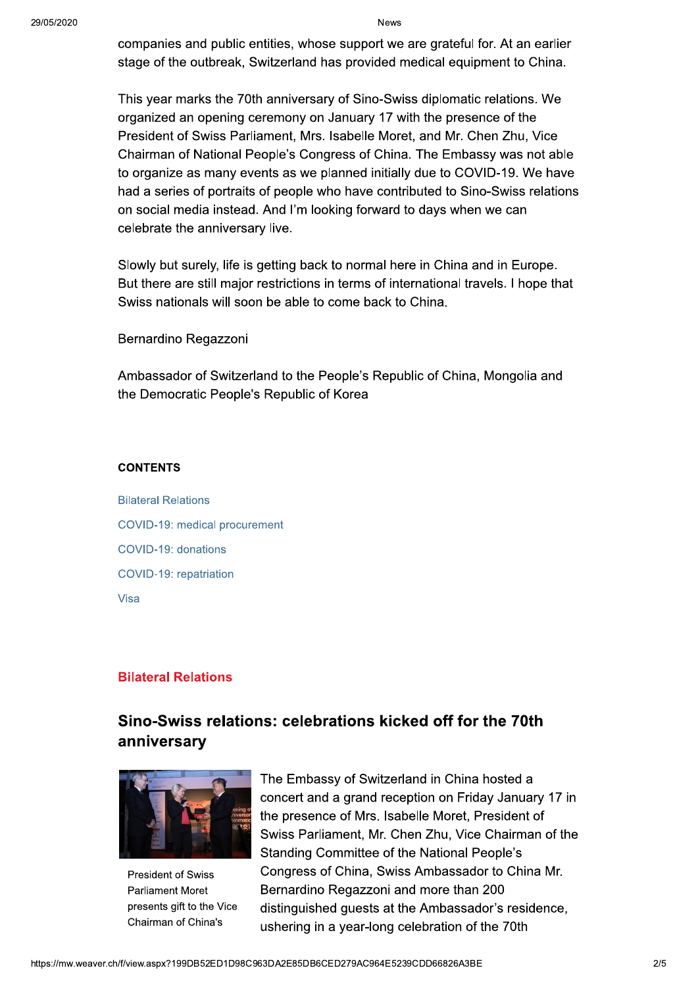companies and public entities, whose support we are grateful for. At an earlier stage of the outbreak, Switzerland has provided medical equipment to China.

This year marks the 70th anniversary of Sino-Swiss diplomatic relations. We organized an opening ceremony on January 17 with the presence of the President of Swiss Parliament, Mrs. Isabelle Moret, and Mr. Chen Zhu, Vice Chairman of National People's Congress of China. The Embassy was not able to organize as many events as we planned initially due to COVID-19. We have had a series of portraits of people who have contributed to Sino-Swiss relations on social media instead. And I'm looking forward to days when we can celebrate the anniversary live.

Slowly but surely, life is getting back to normal here in China and in Europe. But there are still major restrictions in terms of international travels. I hope that Swiss nationals will soon be able to come back to China.

Bernardino Regazzoni

Ambassador of Switzerland to the People's Republic of China, Mongolia and the Democratic People's Republic of Korea

### **CONTENTS**

**Bilateral Relations** COVID-19: medical procurement COVID-19: donations COVID-19: repatriation Visa

## **Bilateral Relations**

# Sino-Swiss relations: celebrations kicked off for the 70th anniversary



**President of Swiss Parliament Moret** presents gift to the Vice Chairman of China's

The Embassy of Switzerland in China hosted a concert and a grand reception on Friday January 17 in the presence of Mrs. Isabelle Moret, President of Swiss Parliament, Mr. Chen Zhu, Vice Chairman of the Standing Committee of the National People's Congress of China, Swiss Ambassador to China Mr. Bernardino Regazzoni and more than 200 distinguished quests at the Ambassador's residence, ushering in a year-long celebration of the 70th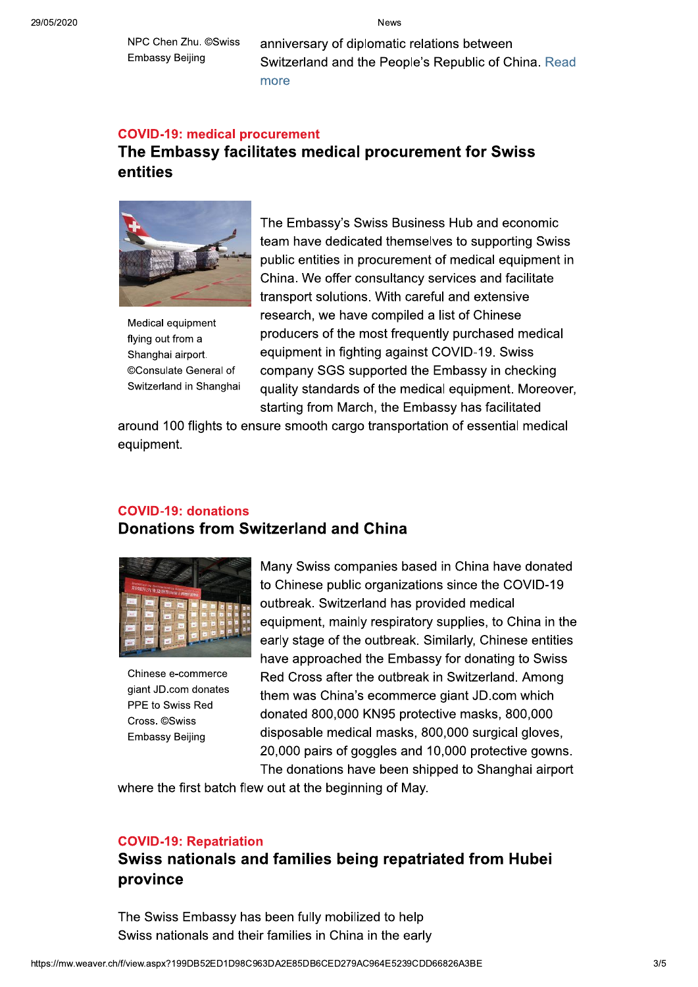NPC Chen Zhu. ©Swiss **Embassy Beijing** 

anniversary of diplomatic relations between Switzerland and the People's Republic of China. Read more

### **COVID-19: medical procurement**

# The Embassy facilitates medical procurement for Swiss entities



Medical equipment flying out from a Shanghai airport. ©Consulate General of Switzerland in Shanghai

The Embassy's Swiss Business Hub and economic team have dedicated themselves to supporting Swiss public entities in procurement of medical equipment in China. We offer consultancy services and facilitate transport solutions. With careful and extensive research, we have compiled a list of Chinese producers of the most frequently purchased medical equipment in fighting against COVID-19. Swiss company SGS supported the Embassy in checking quality standards of the medical equipment. Moreover, starting from March, the Embassy has facilitated

around 100 flights to ensure smooth cargo transportation of essential medical equipment.

## **COVID-19: donations Donations from Switzerland and China**



Chinese e-commerce giant JD.com donates PPE to Swiss Red Cross. ©Swiss **Embassy Beijing** 

Many Swiss companies based in China have donated to Chinese public organizations since the COVID-19 outbreak. Switzerland has provided medical equipment, mainly respiratory supplies, to China in the early stage of the outbreak. Similarly, Chinese entities have approached the Embassy for donating to Swiss Red Cross after the outbreak in Switzerland. Among them was China's ecommerce giant JD.com which donated 800,000 KN95 protective masks, 800,000 disposable medical masks, 800,000 surgical gloves, 20,000 pairs of goggles and 10,000 protective gowns. The donations have been shipped to Shanghai airport

where the first batch flew out at the beginning of May.

### **COVID-19: Repatriation**

# Swiss nationals and families being repatriated from Hubei province

The Swiss Embassy has been fully mobilized to help Swiss nationals and their families in China in the early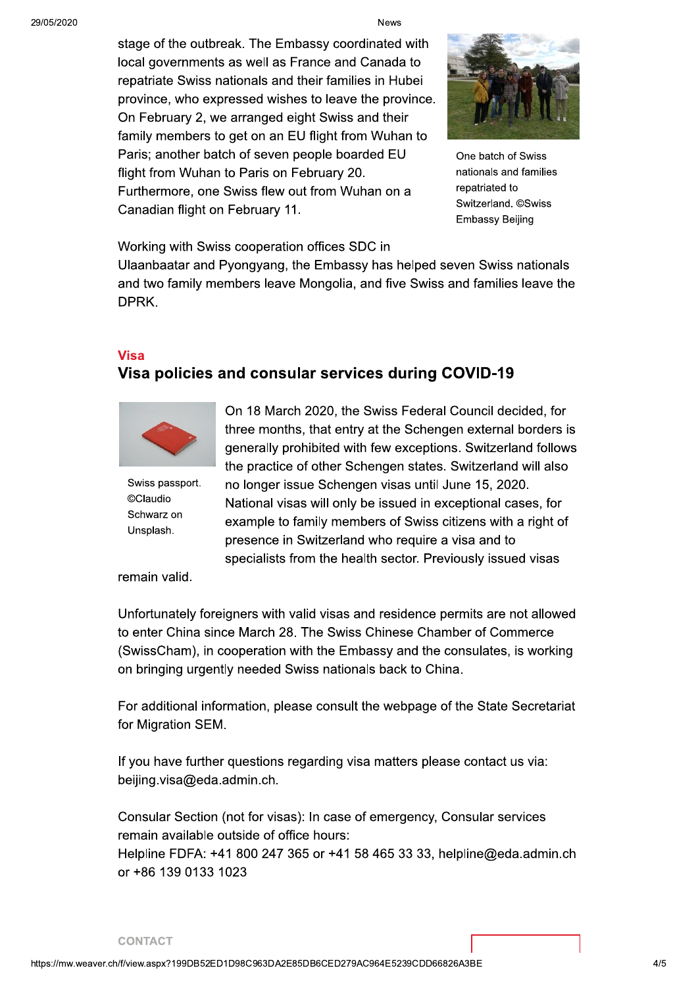stage of the outbreak. The Embassy coordinated with local governments as well as France and Canada to repatriate Swiss nationals and their families in Hubei province, who expressed wishes to leave the province. On February 2, we arranged eight Swiss and their family members to get on an EU flight from Wuhan to Paris; another batch of seven people boarded EU flight from Wuhan to Paris on February 20. Furthermore, one Swiss flew out from Wuhan on a Canadian flight on February 11.



One batch of Swiss nationals and families repatriated to Switzerland. ©Swiss **Embassy Beijing** 

Working with Swiss cooperation offices SDC in

Ulaanbaatar and Pyongyang, the Embassy has helped seven Swiss nationals and two family members leave Mongolia, and five Swiss and families leave the DPRK.

## **Visa**

## Visa policies and consular services during COVID-19



Swiss passport. ©Claudio Schwarz on Unsplash.

On 18 March 2020, the Swiss Federal Council decided, for three months, that entry at the Schengen external borders is generally prohibited with few exceptions. Switzerland follows the practice of other Schengen states. Switzerland will also no longer issue Schengen visas until June 15, 2020.

National visas will only be issued in exceptional cases, for example to family members of Swiss citizens with a right of presence in Switzerland who require a visa and to specialists from the health sector. Previously issued visas

remain valid.

Unfortunately foreigners with valid visas and residence permits are not allowed to enter China since March 28. The Swiss Chinese Chamber of Commerce (SwissCham), in cooperation with the Embassy and the consulates, is working on bringing urgently needed Swiss nationals back to China.

For additional information, please consult the webpage of the State Secretariat for Migration SEM.

If you have further questions regarding visa matters please contact us via: beijing.visa@eda.admin.ch.

Consular Section (not for visas): In case of emergency, Consular services remain available outside of office hours: Helpline FDFA: +41 800 247 365 or +41 58 465 33 33, helpline@eda.admin.ch or +86 139 0133 1023